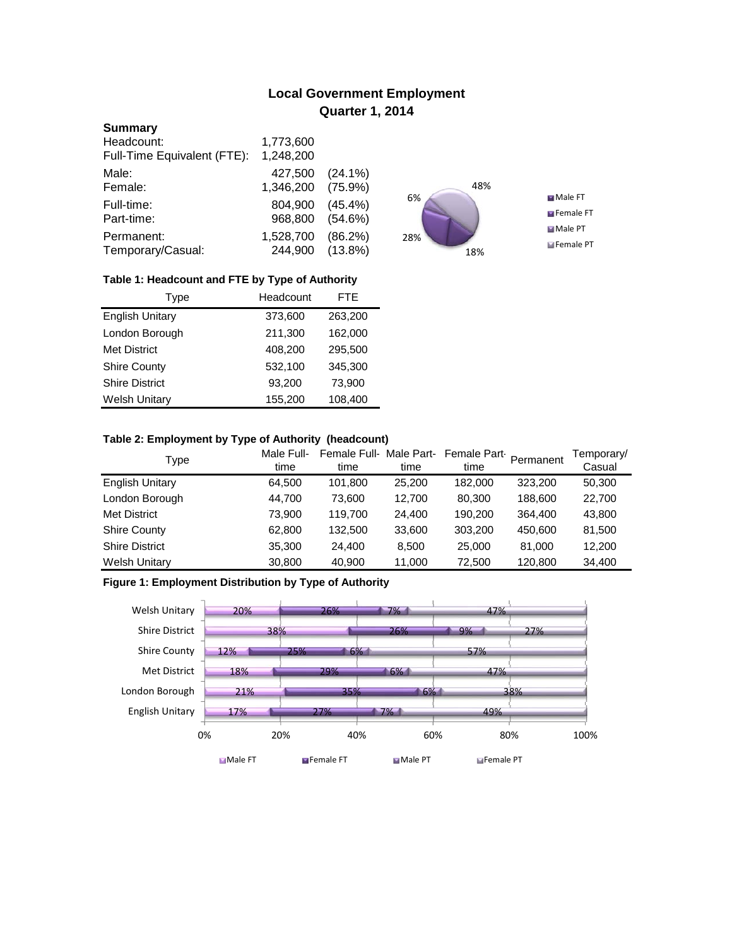# **Local Government Employment Quarter 1, 2014**

### **Summary**

| Headcount:                  | 1,773,600 |            |
|-----------------------------|-----------|------------|
| Full-Time Equivalent (FTE): | 1,248,200 |            |
| Male:                       | 427,500   | $(24.1\%)$ |
| Female:                     | 1,346,200 | $(75.9\%)$ |
| Full-time:                  | 804,900   | $(45.4\%)$ |
| Part-time:                  | 968,800   | $(54.6\%)$ |
| Permanent:                  | 1,528,700 | (86.2%)    |
| Temporary/Casual:           | 244,900   | $(13.8\%)$ |



## **Table 1: Headcount and FTE by Type of Authority**

| Type                   | Headcount |         |
|------------------------|-----------|---------|
| <b>English Unitary</b> | 373,600   | 263,200 |
| London Borough         | 211,300   | 162,000 |
| Met District           | 408,200   | 295,500 |
| <b>Shire County</b>    | 532,100   | 345,300 |
| <b>Shire District</b>  | 93,200    | 73,900  |
| <b>Welsh Unitary</b>   | 155,200   | 108,400 |

## **Table 2: Employment by Type of Authority (headcount)**

| Type                   | Male Full-<br>time | Female Full-Male Part-<br>time | time   | Female Part<br>time | Permanent | Temporary/<br>Casual |
|------------------------|--------------------|--------------------------------|--------|---------------------|-----------|----------------------|
| <b>English Unitary</b> | 64,500             | 101,800                        | 25,200 | 182,000             | 323,200   | 50,300               |
| London Borough         | 44,700             | 73.600                         | 12.700 | 80,300              | 188,600   | 22,700               |
| <b>Met District</b>    | 73,900             | 119.700                        | 24,400 | 190,200             | 364,400   | 43,800               |
| <b>Shire County</b>    | 62,800             | 132,500                        | 33,600 | 303,200             | 450,600   | 81,500               |
| <b>Shire District</b>  | 35,300             | 24.400                         | 8.500  | 25,000              | 81.000    | 12,200               |
| <b>Welsh Unitary</b>   | 30,800             | 40,900                         | 11,000 | 72,500              | 120,800   | 34,400               |

## **Figure 1: Employment Distribution by Type of Authority**